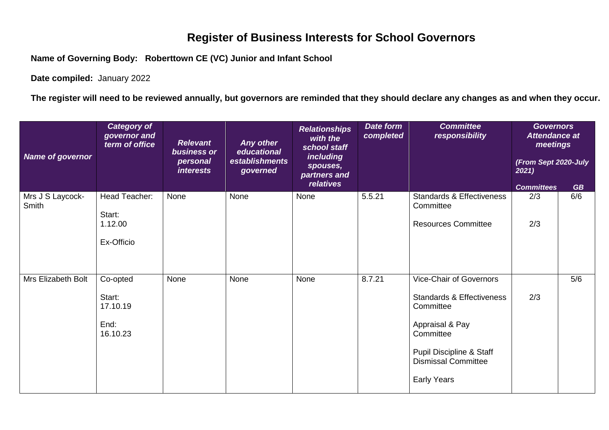## **Register of Business Interests for School Governors**

**Name of Governing Body: Roberttown CE (VC) Junior and Infant School**

**Date compiled:** January 2022

**The register will need to be reviewed annually, but governors are reminded that they should declare any changes as and when they occur.**

| Name of governor          | <b>Category of</b><br>governor and<br>term of office | <b>Relevant</b><br>business or<br>personal<br><i>interests</i> | Any other<br>educational<br>establishments<br>governed | <b>Relationships</b><br>with the<br>school staff<br><i>including</i><br>spouses,<br>partners and | Date form<br>completed | <b>Committee</b><br>responsibility                                              | <b>Governors</b><br><b>Attendance at</b><br>meetings<br>(From Sept 2020-July<br>2021) |           |
|---------------------------|------------------------------------------------------|----------------------------------------------------------------|--------------------------------------------------------|--------------------------------------------------------------------------------------------------|------------------------|---------------------------------------------------------------------------------|---------------------------------------------------------------------------------------|-----------|
|                           |                                                      |                                                                |                                                        | relatives                                                                                        |                        |                                                                                 | <b>Committees</b>                                                                     | <b>GB</b> |
| Mrs J S Laycock-<br>Smith | Head Teacher:<br>Start:<br>1.12.00                   | None                                                           | None                                                   | None                                                                                             | 5.5.21                 | <b>Standards &amp; Effectiveness</b><br>Committee<br><b>Resources Committee</b> | 2/3<br>2/3                                                                            | 6/6       |
|                           | Ex-Officio                                           |                                                                |                                                        |                                                                                                  |                        |                                                                                 |                                                                                       |           |
| Mrs Elizabeth Bolt        | Co-opted                                             | None                                                           | None                                                   | None                                                                                             | 8.7.21                 | Vice-Chair of Governors                                                         |                                                                                       | 5/6       |
|                           | Start:<br>17.10.19                                   |                                                                |                                                        |                                                                                                  |                        | <b>Standards &amp; Effectiveness</b><br>Committee                               | 2/3                                                                                   |           |
|                           | End:<br>16.10.23                                     |                                                                |                                                        |                                                                                                  |                        | Appraisal & Pay<br>Committee                                                    |                                                                                       |           |
|                           |                                                      |                                                                |                                                        |                                                                                                  |                        | Pupil Discipline & Staff<br><b>Dismissal Committee</b>                          |                                                                                       |           |
|                           |                                                      |                                                                |                                                        |                                                                                                  |                        | <b>Early Years</b>                                                              |                                                                                       |           |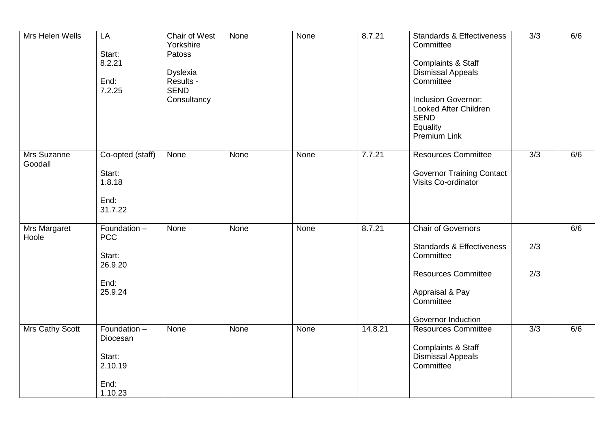| Mrs Helen Wells        | LA<br>Start:<br>8.2.21<br>End:<br>7.2.25                           | Chair of West<br>Yorkshire<br>Patoss<br><b>Dyslexia</b><br>Results -<br><b>SEND</b><br>Consultancy | None | None | 8.7.21  | <b>Standards &amp; Effectiveness</b><br>Committee<br>Complaints & Staff<br><b>Dismissal Appeals</b><br>Committee<br><b>Inclusion Governor:</b><br>Looked After Children<br><b>SEND</b><br>Equality<br>Premium Link | 3/3        | 6/6 |
|------------------------|--------------------------------------------------------------------|----------------------------------------------------------------------------------------------------|------|------|---------|--------------------------------------------------------------------------------------------------------------------------------------------------------------------------------------------------------------------|------------|-----|
| Mrs Suzanne<br>Goodall | Co-opted (staff)<br>Start:<br>1.8.18<br>End:<br>31.7.22            | None                                                                                               | None | None | 7.7.21  | <b>Resources Committee</b><br><b>Governor Training Contact</b><br>Visits Co-ordinator                                                                                                                              | 3/3        | 6/6 |
| Mrs Margaret<br>Hoole  | Foundation -<br><b>PCC</b><br>Start:<br>26.9.20<br>End:<br>25.9.24 | None                                                                                               | None | None | 8.7.21  | <b>Chair of Governors</b><br><b>Standards &amp; Effectiveness</b><br>Committee<br><b>Resources Committee</b><br>Appraisal & Pay<br>Committee<br>Governor Induction                                                 | 2/3<br>2/3 | 6/6 |
| Mrs Cathy Scott        | Foundation -<br>Diocesan<br>Start:<br>2.10.19<br>End:<br>1.10.23   | None                                                                                               | None | None | 14.8.21 | <b>Resources Committee</b><br>Complaints & Staff<br><b>Dismissal Appeals</b><br>Committee                                                                                                                          | 3/3        | 6/6 |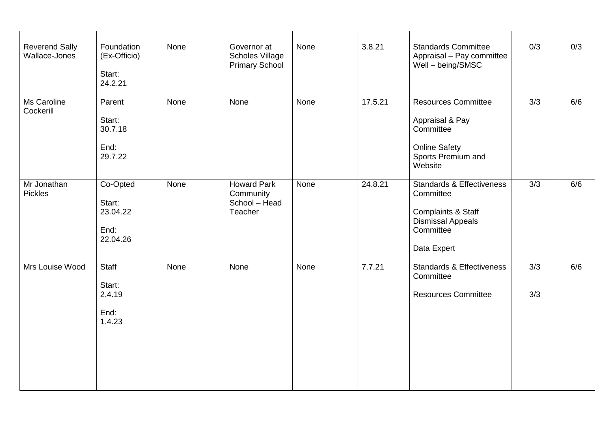| <b>Reverend Sally</b><br>Wallace-Jones | Foundation<br>(Ex-Officio)<br>Start:<br>24.2.21    | None | Governor at<br><b>Scholes Village</b><br><b>Primary School</b> | None | 3.8.21  | <b>Standards Committee</b><br>Appraisal - Pay committee<br>Well - being/SMSC                                                    | 0/3              | 0/3 |
|----------------------------------------|----------------------------------------------------|------|----------------------------------------------------------------|------|---------|---------------------------------------------------------------------------------------------------------------------------------|------------------|-----|
| Ms Caroline<br>Cockerill               | Parent<br>Start:<br>30.7.18<br>End:<br>29.7.22     | None | None                                                           | None | 17.5.21 | <b>Resources Committee</b><br>Appraisal & Pay<br>Committee<br><b>Online Safety</b><br>Sports Premium and<br>Website             | $\overline{3/3}$ | 6/6 |
| Mr Jonathan<br><b>Pickles</b>          | Co-Opted<br>Start:<br>23.04.22<br>End:<br>22.04.26 | None | <b>Howard Park</b><br>Community<br>School - Head<br>Teacher    | None | 24.8.21 | <b>Standards &amp; Effectiveness</b><br>Committee<br>Complaints & Staff<br><b>Dismissal Appeals</b><br>Committee<br>Data Expert | 3/3              | 6/6 |
| Mrs Louise Wood                        | Staff<br>Start:<br>2.4.19<br>End:<br>1.4.23        | None | None                                                           | None | 7.7.21  | <b>Standards &amp; Effectiveness</b><br>Committee<br><b>Resources Committee</b>                                                 | 3/3<br>3/3       | 6/6 |